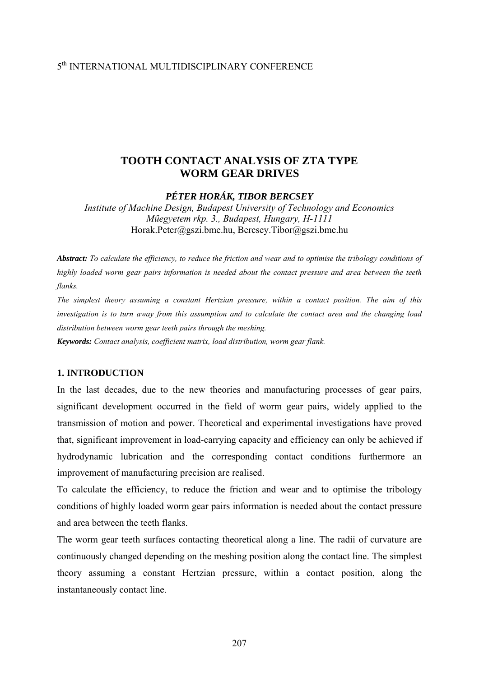## 5th INTERNATIONAL MULTIDISCIPLINARY CONFERENCE

### **TOOTH CONTACT ANALYSIS OF ZTA TYPE WORM GEAR DRIVES**

*PÉTER HORÁK, TIBOR BERCSEY* 

*Institute of Machine Design, Budapest University of Technology and Economics Műegyetem rkp. 3., Budapest, Hungary, H-1111* Horak.Peter@gszi.bme.hu, Bercsey.Tibor@gszi.bme.hu

*Abstract: To calculate the efficiency, to reduce the friction and wear and to optimise the tribology conditions of highly loaded worm gear pairs information is needed about the contact pressure and area between the teeth flanks.* 

*The simplest theory assuming a constant Hertzian pressure, within a contact position. The aim of this investigation is to turn away from this assumption and to calculate the contact area and the changing load distribution between worm gear teeth pairs through the meshing.* 

*Keywords: Contact analysis, coefficient matrix, load distribution, worm gear flank.*

#### **1. INTRODUCTION**

In the last decades, due to the new theories and manufacturing processes of gear pairs, significant development occurred in the field of worm gear pairs, widely applied to the transmission of motion and power. Theoretical and experimental investigations have proved that, significant improvement in load-carrying capacity and efficiency can only be achieved if hydrodynamic lubrication and the corresponding contact conditions furthermore an improvement of manufacturing precision are realised.

To calculate the efficiency, to reduce the friction and wear and to optimise the tribology conditions of highly loaded worm gear pairs information is needed about the contact pressure and area between the teeth flanks.

The worm gear teeth surfaces contacting theoretical along a line. The radii of curvature are continuously changed depending on the meshing position along the contact line. The simplest theory assuming a constant Hertzian pressure, within a contact position, along the instantaneously contact line.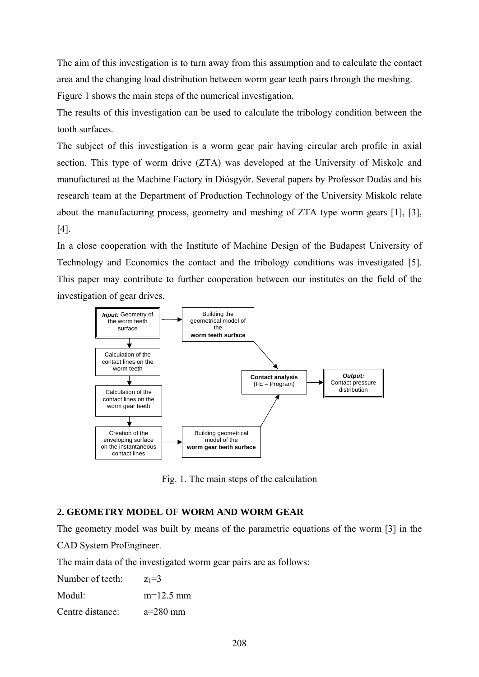The aim of this investigation is to turn away from this assumption and to calculate the contact area and the changing load distribution between worm gear teeth pairs through the meshing.

Figure 1 shows the main steps of the numerical investigation.

The results of this investigation can be used to calculate the tribology condition between the tooth surfaces.

The subject of this investigation is a worm gear pair having circular arch profile in axial section. This type of worm drive (ZTA) was developed at the University of Miskolc and manufactured at the Machine Factory in Diósgyőr. Several papers by Professor Dudás and his research team at the Department of Production Technology of the University Miskolc relate about the manufacturing process, geometry and meshing of ZTA type worm gears [1], [3], [4].

In a close cooperation with the Institute of Machine Design of the Budapest University of Technology and Economics the contact and the tribology conditions was investigated [5]. This paper may contribute to further cooperation between our institutes on the field of the investigation of gear drives.



Fig. 1. The main steps of the calculation

# **2. GEOMETRY MODEL OF WORM AND WORM GEAR**

The geometry model was built by means of the parametric equations of the worm [3] in the

CAD System ProEngineer.

The main data of the investigated worm gear pairs are as follows:

| $z_1 = 3$   |
|-------------|
| $m=12.5$ mm |
| $a=280$ mm  |
|             |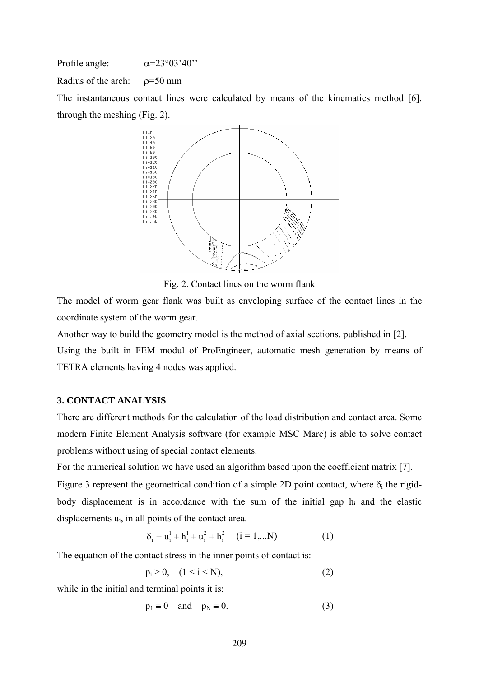Profile angle:  $\alpha = 23^{\circ}03'40'$ Radius of the arch:  $\rho = 50$  mm The instantaneous contact lines were calculated by means of the kinematics method [6], through the meshing (Fig. 2).



Fig. 2. Contact lines on the worm flank

The model of worm gear flank was built as enveloping surface of the contact lines in the coordinate system of the worm gear.

Another way to build the geometry model is the method of axial sections, published in [2].

Using the built in FEM modul of ProEngineer, automatic mesh generation by means of TETRA elements having 4 nodes was applied.

### **3. CONTACT ANALYSIS**

There are different methods for the calculation of the load distribution and contact area. Some modern Finite Element Analysis software (for example MSC Marc) is able to solve contact problems without using of special contact elements.

For the numerical solution we have used an algorithm based upon the coefficient matrix [7]. Figure 3 represent the geometrical condition of a simple 2D point contact, where  $\delta_i$  the rigidbody displacement is in accordance with the sum of the initial gap  $h_i$  and the elastic displacements  $u_i$ , in all points of the contact area.

$$
\delta_i = u_i^1 + h_i^1 + u_i^2 + h_i^2 \quad (i = 1,...N)
$$
 (1)

The equation of the contact stress in the inner points of contact is:

$$
p_i > 0, \quad (1 \le i \le N), \tag{2}
$$

while in the initial and terminal points it is:

$$
p_1 \equiv 0 \quad \text{and} \quad p_N \equiv 0. \tag{3}
$$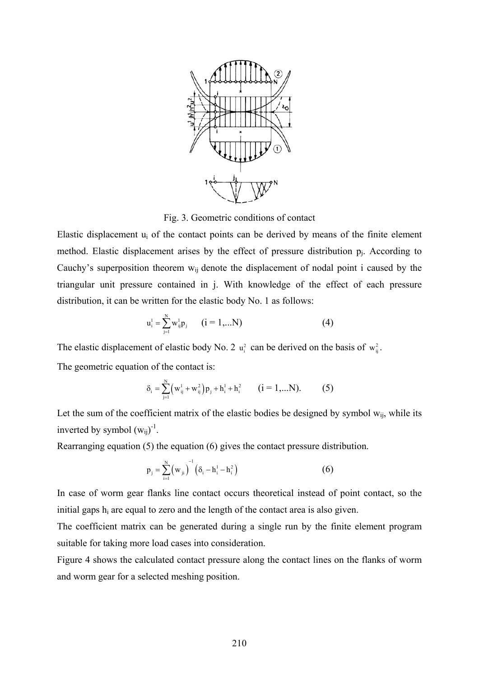

Fig. 3. Geometric conditions of contact

Elastic displacement  $u_i$  of the contact points can be derived by means of the finite element method. Elastic displacement arises by the effect of pressure distribution  $p_i$ . According to Cauchy's superposition theorem  $w_{ii}$  denote the displacement of nodal point i caused by the triangular unit pressure contained in j. With knowledge of the effect of each pressure distribution, it can be written for the elastic body No. 1 as follows:

$$
u_i^1 = \sum_{j=1}^{N} w_{ij}^1 p_j \qquad (i = 1,...N)
$$
 (4)

The elastic displacement of elastic body No. 2  $u_i^2$  can be derived on the basis of  $w_{ii}^2$ .

The geometric equation of the contact is:

$$
\delta_{i} = \sum_{j=1}^{N} (w_{ij}^{1} + w_{ij}^{2}) p_{j} + h_{i}^{1} + h_{i}^{2} \qquad (i = 1,...N).
$$
 (5)

Let the sum of the coefficient matrix of the elastic bodies be designed by symbol  $w_{ij}$ , while its inverted by symbol  $(w_{ij})^{-1}$ .

Rearranging equation (5) the equation (6) gives the contact pressure distribution.

$$
p_{j} = \sum_{i=1}^{N} (w_{ji})^{-1} (\delta_{i} - h_{i}^{1} - h_{i}^{2})
$$
 (6)

In case of worm gear flanks line contact occurs theoretical instead of point contact, so the initial gaps  $h_i$  are equal to zero and the length of the contact area is also given.

The coefficient matrix can be generated during a single run by the finite element program suitable for taking more load cases into consideration.

Figure 4 shows the calculated contact pressure along the contact lines on the flanks of worm and worm gear for a selected meshing position.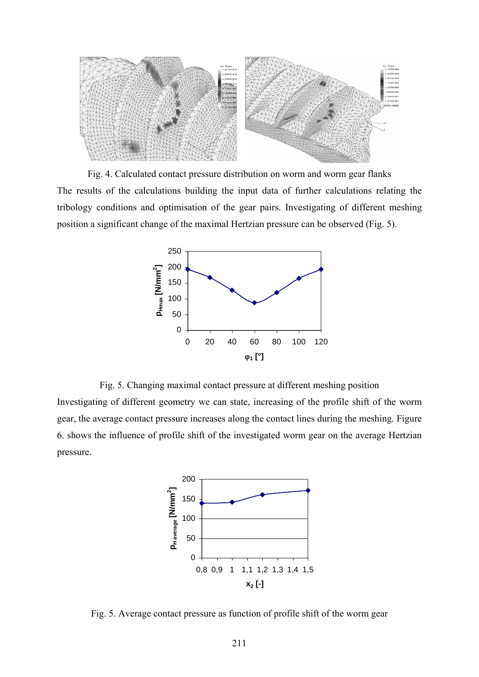

Fig. 4. Calculated contact pressure distribution on worm and worm gear flanks The results of the calculations building the input data of further calculations relating the tribology conditions and optimisation of the gear pairs. Investigating of different meshing position a significant change of the maximal Hertzian pressure can be observed (Fig. 5).



Fig. 5. Changing maximal contact pressure at different meshing position Investigating of different geometry we can state, increasing of the profile shift of the worm gear, the average contact pressure increases along the contact lines during the meshing. Figure 6. shows the influence of profile shift of the investigated worm gear on the average Hertzian pressure.



Fig. 5. Average contact pressure as function of profile shift of the worm gear